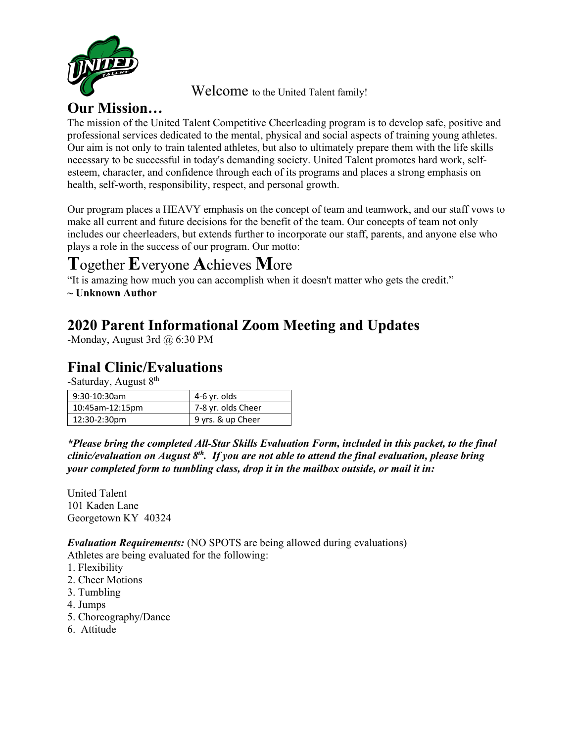

Welcome to the United Talent family!

## **Our Mission…**

The mission of the United Talent Competitive Cheerleading program is to develop safe, positive and professional services dedicated to the mental, physical and social aspects of training young athletes. Our aim is not only to train talented athletes, but also to ultimately prepare them with the life skills necessary to be successful in today's demanding society. United Talent promotes hard work, selfesteem, character, and confidence through each of its programs and places a strong emphasis on health, self-worth, responsibility, respect, and personal growth.

Our program places a HEAVY emphasis on the concept of team and teamwork, and our staff vows to make all current and future decisions for the benefit of the team. Our concepts of team not only includes our cheerleaders, but extends further to incorporate our staff, parents, and anyone else who plays a role in the success of our program. Our motto:

# **T**ogether **E**veryone **A**chieves **M**ore

"It is amazing how much you can accomplish when it doesn't matter who gets the credit."

**~ Unknown Author**

## **2020 Parent Informational Zoom Meeting and Updates**

-Monday, August 3rd @ 6:30 PM

## **Final Clinic/Evaluations**

-Saturday, August  $8<sup>th</sup>$ 

| $9:30-10:30am$  | 4-6 yr. olds       |
|-----------------|--------------------|
| 10:45am-12:15pm | 7-8 yr. olds Cheer |
| 12:30-2:30pm    | 9 yrs. & up Cheer  |

*\*Please bring the completed All-Star Skills Evaluation Form, included in this packet, to the final clinic/evaluation on August 8th. If you are not able to attend the final evaluation, please bring your completed form to tumbling class, drop it in the mailbox outside, or mail it in:*

United Talent 101 Kaden Lane Georgetown KY 40324

*Evaluation Requirements:* (NO SPOTS are being allowed during evaluations)

Athletes are being evaluated for the following:

- 1. Flexibility
- 2. Cheer Motions
- 3. Tumbling
- 4. Jumps
- 5. Choreography/Dance
- 6. Attitude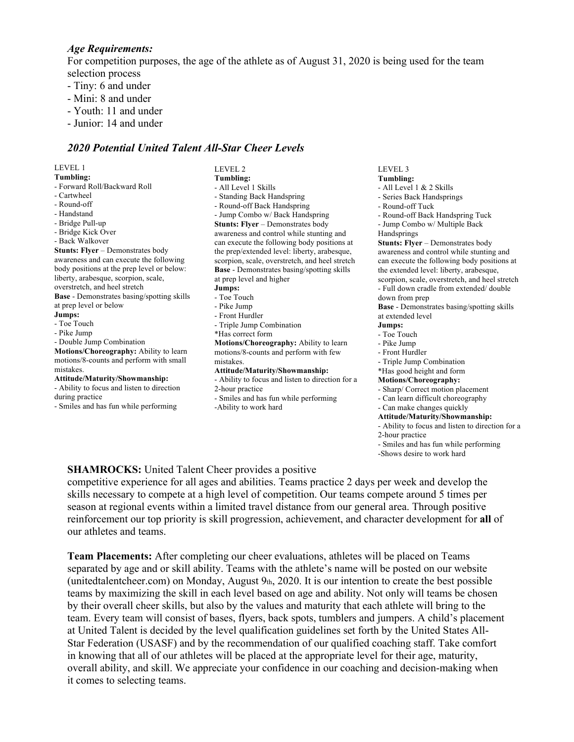#### *Age Requirements:*

For competition purposes, the age of the athlete as of August 31, 2020 is being used for the team selection process

- Tiny: 6 and under
- Mini: 8 and under
- Youth: 11 and under
- Junior: 14 and under

#### *2020 Potential United Talent All-Star Cheer Levels*

LEVEL 1

**Tumbling:** - Forward Roll/Backward Roll - Cartwheel - Round-off - Handstand - Bridge Pull-up - Bridge Kick Over - Back Walkover **Stunts: Flyer – Demonstrates body** awareness and can execute the following body positions at the prep level or below: liberty, arabesque, scorpion, scale, overstretch, and heel stretch **Base** - Demonstrates basing/spotting skills at prep level or below **Jumps:** - Toe Touch - Pike Jump - Double Jump Combination **Motions/Choreography:** Ability to learn motions/8-counts and perform with small mistakes. **Attitude/Maturity/Showmanship:** - Ability to focus and listen to direction during practice - Smiles and has fun while performing

LEVEL 2 **Tumbling:** - All Level 1 Skills - Standing Back Handspring - Round-off Back Handspring - Jump Combo w/ Back Handspring **Stunts: Flyer** – Demonstrates body awareness and control while stunting and can execute the following body positions at the prep/extended level: liberty, arabesque, scorpion, scale, overstretch, and heel stretch **Base** - Demonstrates basing/spotting skills at prep level and higher **Jumps:** - Toe Touch - Pike Jump - Front Hurdler - Triple Jump Combination \*Has correct form **Motions/Choreography:** Ability to learn motions/8-counts and perform with few mistakes. **Attitude/Maturity/Showmanship:** - Ability to focus and listen to direction for a 2-hour practice - Smiles and has fun while performing -Ability to work hard

LEVEL 3 **Tumbling:**

- 
- All Level 1 & 2 Skills - Series Back Handsprings
- Round-off Tuck
- Round-off Back Handspring Tuck
- Jump Combo w/ Multiple Back
- Handsprings

**Stunts: Flyer – Demonstrates body** awareness and control while stunting and can execute the following body positions at the extended level: liberty, arabesque, scorpion, scale, overstretch, and heel stretch

- Full down cradle from extended/ double down from prep

**Base** - Demonstrates basing/spotting skills at extended level

- **Jumps:**
- Toe Touch
- Pike Jump
- Front Hurdler
- Triple Jump Combination
- \*Has good height and form

#### **Motions/Choreography:**

- Sharp/ Correct motion placement
- Can learn difficult choreography
- Can make changes quickly
- **Attitude/Maturity/Showmanship:**
- Ability to focus and listen to direction for a
- 2-hour practice
- Smiles and has fun while performing
- -Shows desire to work hard

#### **SHAMROCKS:** United Talent Cheer provides a positive

competitive experience for all ages and abilities. Teams practice 2 days per week and develop the skills necessary to compete at a high level of competition. Our teams compete around 5 times per season at regional events within a limited travel distance from our general area. Through positive reinforcement our top priority is skill progression, achievement, and character development for **all** of our athletes and teams.

**Team Placements:** After completing our cheer evaluations, athletes will be placed on Teams separated by age and or skill ability. Teams with the athlete's name will be posted on our website (unitedtalentcheer.com) on Monday, August  $9<sub>th</sub>$ , 2020. It is our intention to create the best possible teams by maximizing the skill in each level based on age and ability. Not only will teams be chosen by their overall cheer skills, but also by the values and maturity that each athlete will bring to the team. Every team will consist of bases, flyers, back spots, tumblers and jumpers. A child's placement at United Talent is decided by the level qualification guidelines set forth by the United States All-Star Federation (USASF) and by the recommendation of our qualified coaching staff. Take comfort in knowing that all of our athletes will be placed at the appropriate level for their age, maturity, overall ability, and skill. We appreciate your confidence in our coaching and decision-making when it comes to selecting teams.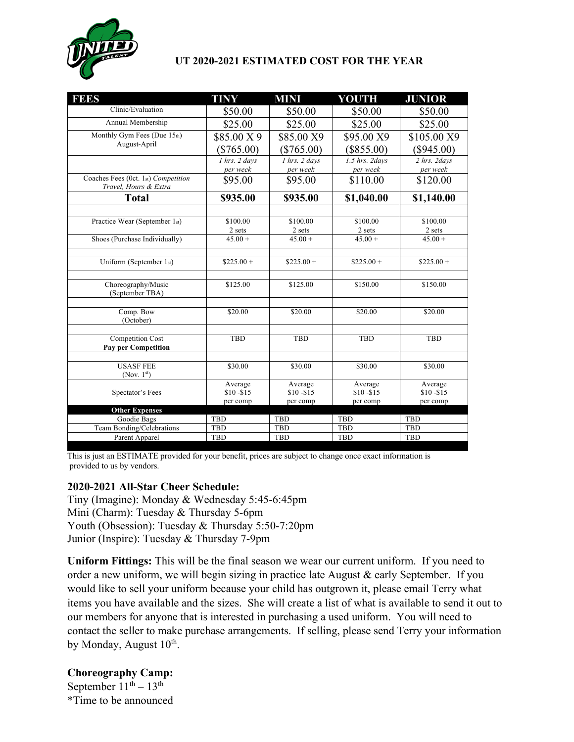

### **UT 2020-2021 ESTIMATED COST FOR THE YEAR**

| <b>FEES</b>                                    | <b>TINY</b>                        | <b>MINI</b>                        | YOUTH                            | <b>JUNIOR</b>                      |
|------------------------------------------------|------------------------------------|------------------------------------|----------------------------------|------------------------------------|
| Clinic/Evaluation                              | \$50.00                            | \$50.00                            | \$50.00                          | \$50.00                            |
| Annual Membership                              | \$25.00                            | \$25.00                            | \$25.00                          | \$25.00                            |
| Monthly Gym Fees (Due 15th)                    | \$85.00 X 9                        | \$85.00 X9                         | \$95.00 X9                       | \$105.00 X9                        |
| August-April                                   | $(\$765.00)$                       | $(\$765.00)$                       | $(\$855.00)$                     | $(\$945.00)$                       |
|                                                | $1$ hrs. $2$ days                  | 1 hrs. 2 days                      | 1.5 hrs. 2days                   | $\overline{2 \text{ hrs.}}$ 2days  |
| Coaches Fees (0ct. 1st) Competition            | per week<br>\$95.00                | per week<br>\$95.00                | per week<br>\$110.00             | per week<br>\$120.00               |
| Travel, Hours & Extra<br><b>Total</b>          | \$935.00                           | \$935.00                           | \$1,040.00                       | \$1,140.00                         |
|                                                |                                    |                                    |                                  |                                    |
| Practice Wear (September 1st)                  | \$100.00                           | \$100.00                           | \$100.00                         | \$100.00                           |
|                                                | 2 sets                             | 2 sets                             | 2 sets                           | 2 sets                             |
| Shoes (Purchase Individually)                  | $45.00 +$                          | $45.00 +$                          | $45.00 +$                        | $45.00 +$                          |
|                                                |                                    |                                    |                                  |                                    |
| Uniform (September 1st)                        | $$225.00+$                         | $$225.00+$                         | $$225.00+$                       | $$225.00+$                         |
| Choreography/Music<br>(September TBA)          | \$125.00                           | \$125.00                           | \$150.00                         | \$150.00                           |
| Comp. Bow<br>(October)                         | \$20.00                            | \$20.00                            | \$20.00                          | \$20.00                            |
| <b>Competition Cost</b><br>Pay per Competition | <b>TBD</b>                         | <b>TBD</b>                         | <b>TBD</b>                       | TBD                                |
| <b>USASF FEE</b>                               | \$30.00                            | \$30.00                            | \$30.00                          | \$30.00                            |
| (Nov. $1st$ )                                  |                                    |                                    |                                  |                                    |
| Spectator's Fees                               | Average<br>$$10 - $15$<br>per comp | Average<br>$$10 - $15$<br>per comp | Average<br>\$10-\$15<br>per comp | Average<br>$$10 - $15$<br>per comp |
| <b>Other Expenses</b>                          |                                    |                                    |                                  |                                    |
| Goodie Bags                                    | TBD                                | <b>TBD</b>                         | <b>TBD</b>                       | <b>TBD</b>                         |
| Team Bonding/Celebrations                      | <b>TBD</b>                         | <b>TBD</b>                         | <b>TBD</b>                       | TBD                                |
| Parent Apparel                                 | <b>TBD</b>                         | <b>TBD</b>                         | <b>TBD</b>                       | <b>TBD</b>                         |

This is just an ESTIMATE provided for your benefit, prices are subject to change once exact information is provided to us by vendors.

#### **2020-2021 All-Star Cheer Schedule:**

Tiny (Imagine): Monday & Wednesday 5:45-6:45pm Mini (Charm): Tuesday & Thursday 5-6pm Youth (Obsession): Tuesday & Thursday 5:50-7:20pm Junior (Inspire): Tuesday & Thursday 7-9pm

**Uniform Fittings:** This will be the final season we wear our current uniform. If you need to order a new uniform, we will begin sizing in practice late August & early September. If you would like to sell your uniform because your child has outgrown it, please email Terry what items you have available and the sizes. She will create a list of what is available to send it out to our members for anyone that is interested in purchasing a used uniform. You will need to contact the seller to make purchase arrangements. If selling, please send Terry your information by Monday, August 10<sup>th</sup>.

**Choreography Camp:** September  $11<sup>th</sup> - 13<sup>th</sup>$ \*Time to be announced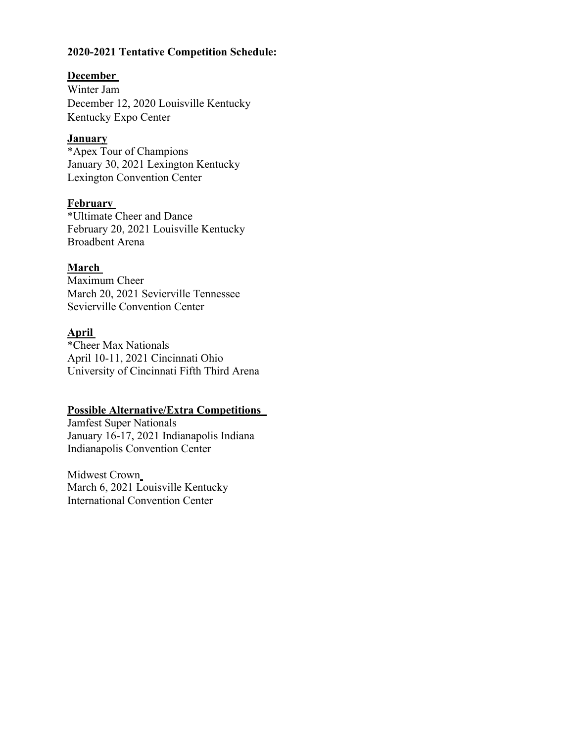#### **2020-2021 Tentative Competition Schedule: <sup>F</sup>**

#### **December**

Winter Jam December 12, 2020 Louisville Kentucky Kentucky Expo Center

#### **January**

\*Apex Tour of Champions January 30, 2021 Lexington Kentucky Lexington Convention Center

#### **February**

\*Ultimate Cheer and Dance February 20, 2021 Louisville Kentucky Broadbent Arena

### **March**

Maximum Cheer March 20, 2021 Sevierville Tennessee Sevierville Convention Center

### **April**

\*Cheer Max Nationals April 10-11, 2021 Cincinnati Ohio University of Cincinnati Fifth Third Arena

## **Possible Alternative/Extra Competitions**

Jamfest Super Nationals January 16-17, 2021 Indianapolis Indiana Indianapolis Convention Center

Midwest Crown March 6, 2021 Louisville Kentucky International Convention Center